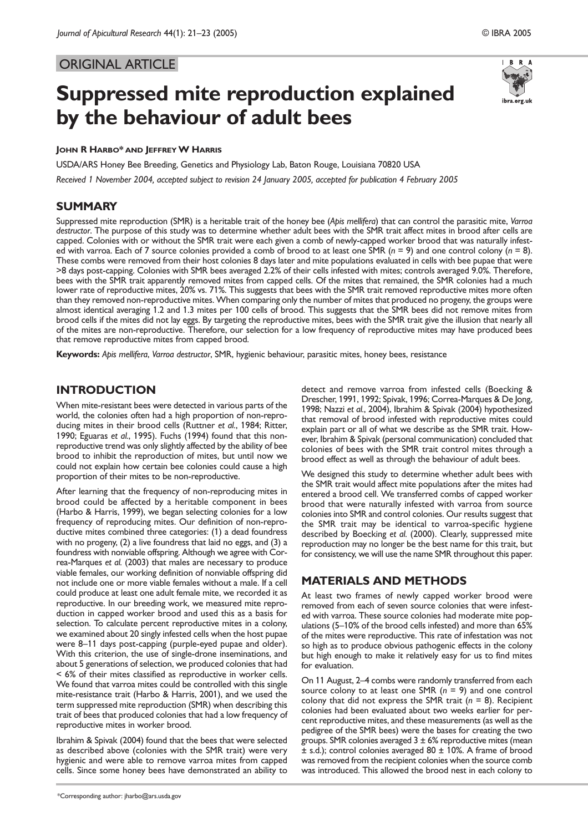# ORIGINAL ARTICLE

# **Suppressed mite reproduction explained by the behaviour of adult bees**



#### **JOHN R HARBO\* AND JEFFREYW HARRIS**

USDA/ARS Honey Bee Breeding, Genetics and Physiology Lab, Baton Rouge, Louisiana 70820 USA *Received 1 November 2004, accepted subject to revision 24 January 2005, accepted for publication 4 February 2005*

#### **SUMMARY**

Suppressed mite reproduction (SMR) is a heritable trait of the honey bee (*Apis mellifera*) that can control the parasitic mite, *Varroa destructor*. The purpose of this study was to determine whether adult bees with the SMR trait affect mites in brood after cells are capped. Colonies with or without the SMR trait were each given a comb of newly-capped worker brood that was naturally infested with varroa. Each of 7 source colonies provided a comb of brood to at least one SMR (*n* = 9) and one control colony (*n* = 8). These combs were removed from their host colonies 8 days later and mite populations evaluated in cells with bee pupae that were >8 days post-capping. Colonies with SMR bees averaged 2.2% of their cells infested with mites; controls averaged 9.0%. Therefore, bees with the SMR trait apparently removed mites from capped cells. Of the mites that remained, the SMR colonies had a much lower rate of reproductive mites, 20% vs. 71%. This suggests that bees with the SMR trait removed reproductive mites more often than they removed non-reproductive mites. When comparing only the number of mites that produced no progeny, the groups were almost identical averaging 1.2 and 1.3 mites per 100 cells of brood. This suggests that the SMR bees did not remove mites from brood cells if the mites did not lay eggs. By targeting the reproductive mites, bees with the SMR trait give the illusion that nearly all of the mites are non-reproductive. Therefore, our selection for a low frequency of reproductive mites may have produced bees that remove reproductive mites from capped brood.

**Keywords:** *Apis mellifera*, *Varroa destructor*, SMR, hygienic behaviour, parasitic mites, honey bees, resistance

## **INTRODUCTION**

When mite-resistant bees were detected in various parts of the world, the colonies often had a high proportion of non-reproducing mites in their brood cells (Ruttner *et al.*, 1984; Ritter, 1990; Eguaras *et al.*, 1995). Fuchs (1994) found that this nonreproductive trend was only slightly affected by the ability of bee brood to inhibit the reproduction of mites, but until now we could not explain how certain bee colonies could cause a high proportion of their mites to be non-reproductive.

After learning that the frequency of non-reproducing mites in brood could be affected by a heritable component in bees (Harbo & Harris, 1999), we began selecting colonies for a low frequency of reproducing mites. Our definition of non-reproductive mites combined three categories: (1) a dead foundress with no progeny, (2) a live foundress that laid no eggs, and (3) a foundress with nonviable offspring. Although we agree with Correa-Marques *et al.* (2003) that males are necessary to produce viable females, our working definition of nonviable offspring did not include one or more viable females without a male. If a cell could produce at least one adult female mite, we recorded it as reproductive. In our breeding work, we measured mite reproduction in capped worker brood and used this as a basis for selection. To calculate percent reproductive mites in a colony, we examined about 20 singly infested cells when the host pupae were 8–11 days post-capping (purple-eyed pupae and older). With this criterion, the use of single-drone inseminations, and about 5 generations of selection, we produced colonies that had < 6% of their mites classified as reproductive in worker cells. We found that varroa mites could be controlled with this single mite-resistance trait (Harbo & Harris, 2001), and we used the term suppressed mite reproduction (SMR) when describing this trait of bees that produced colonies that had a low frequency of reproductive mites in worker brood.

Ibrahim & Spivak (2004) found that the bees that were selected as described above (colonies with the SMR trait) were very hygienic and were able to remove varroa mites from capped cells. Since some honey bees have demonstrated an ability to

detect and remove varroa from infested cells (Boecking & Drescher, 1991, 1992; Spivak, 1996; Correa-Marques & De Jong, 1998; Nazzi *et al.*, 2004), Ibrahim & Spivak (2004) hypothesized that removal of brood infested with reproductive mites could explain part or all of what we describe as the SMR trait. However, Ibrahim & Spivak (personal communication) concluded that colonies of bees with the SMR trait control mites through a brood effect as well as through the behaviour of adult bees.

We designed this study to determine whether adult bees with the SMR trait would affect mite populations after the mites had entered a brood cell. We transferred combs of capped worker brood that were naturally infested with varroa from source colonies into SMR and control colonies. Our results suggest that the SMR trait may be identical to varroa-specific hygiene described by Boecking *et al.* (2000). Clearly, suppressed mite reproduction may no longer be the best name for this trait, but for consistency, we will use the name SMR throughout this paper.

## **MATERIALS AND METHODS**

At least two frames of newly capped worker brood were removed from each of seven source colonies that were infested with varroa. These source colonies had moderate mite populations (5–10% of the brood cells infested) and more than 65% of the mites were reproductive. This rate of infestation was not so high as to produce obvious pathogenic effects in the colony but high enough to make it relatively easy for us to find mites for evaluation.

On 11 August, 2–4 combs were randomly transferred from each source colony to at least one SMR (*n* = 9) and one control colony that did not express the SMR trait (*n* = 8). Recipient colonies had been evaluated about two weeks earlier for percent reproductive mites, and these measurements (as well as the pedigree of the SMR bees) were the bases for creating the two groups. SMR colonies averaged  $3 \pm 6\%$  reproductive mites (mean  $\pm$  s.d.); control colonies averaged 80  $\pm$  10%. A frame of brood was removed from the recipient colonies when the source comb was introduced. This allowed the brood nest in each colony to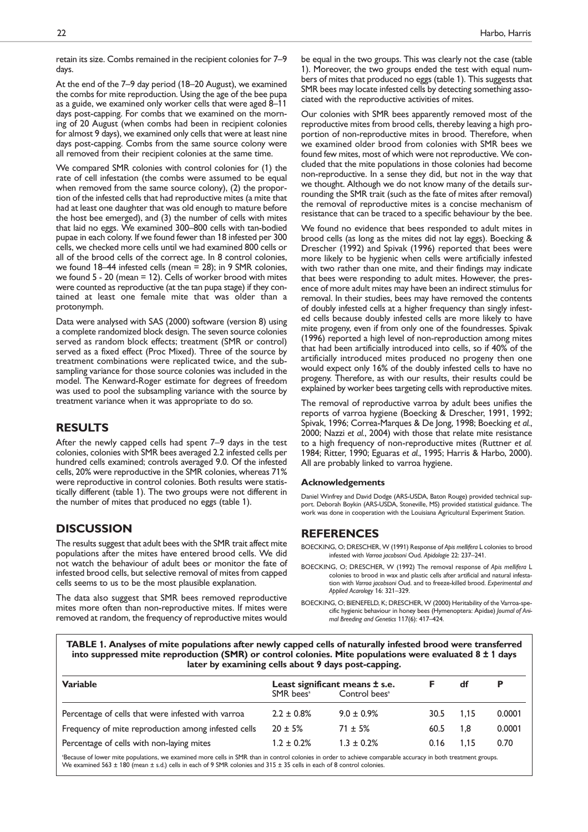At the end of the 7–9 day period (18–20 August), we examined the combs for mite reproduction. Using the age of the bee pupa as a guide, we examined only worker cells that were aged 8–11 days post-capping. For combs that we examined on the morning of 20 August (when combs had been in recipient colonies for almost 9 days), we examined only cells that were at least nine days post-capping. Combs from the same source colony were all removed from their recipient colonies at the same time.

We compared SMR colonies with control colonies for (1) the rate of cell infestation (the combs were assumed to be equal when removed from the same source colony), (2) the proportion of the infested cells that had reproductive mites (a mite that had at least one daughter that was old enough to mature before the host bee emerged), and (3) the number of cells with mites that laid no eggs. We examined 300–800 cells with tan-bodied pupae in each colony. If we found fewer than 18 infested per 300 cells, we checked more cells until we had examined 800 cells or all of the brood cells of the correct age. In 8 control colonies, we found 18–44 infested cells (mean  $= 28$ ); in 9 SMR colonies, we found 5 - 20 (mean = 12). Cells of worker brood with mites were counted as reproductive (at the tan pupa stage) if they contained at least one female mite that was older than a protonymph.

Data were analysed with SAS (2000) software (version 8) using a complete randomized block design. The seven source colonies served as random block effects; treatment (SMR or control) served as a fixed effect (Proc Mixed). Three of the source by treatment combinations were replicated twice, and the subsampling variance for those source colonies was included in the model. The Kenward-Roger estimate for degrees of freedom was used to pool the subsampling variance with the source by treatment variance when it was appropriate to do so.

# **RESULTS**

After the newly capped cells had spent 7–9 days in the test colonies, colonies with SMR bees averaged 2.2 infested cells per hundred cells examined; controls averaged 9.0. Of the infested cells, 20% were reproductive in the SMR colonies, whereas 71% were reproductive in control colonies. Both results were statistically different (table 1). The two groups were not different in the number of mites that produced no eggs (table 1).

# **DISCUSSION**

The results suggest that adult bees with the SMR trait affect mite populations after the mites have entered brood cells. We did not watch the behaviour of adult bees or monitor the fate of infested brood cells, but selective removal of mites from capped cells seems to us to be the most plausible explanation.

The data also suggest that SMR bees removed reproductive mites more often than non-reproductive mites. If mites were removed at random, the frequency of reproductive mites would be equal in the two groups. This was clearly not the case (table 1). Moreover, the two groups ended the test with equal numbers of mites that produced no eggs (table 1). This suggests that SMR bees may locate infested cells by detecting something associated with the reproductive activities of mites.

Our colonies with SMR bees apparently removed most of the reproductive mites from brood cells, thereby leaving a high proportion of non-reproductive mites in brood. Therefore, when we examined older brood from colonies with SMR bees we found few mites, most of which were not reproductive. We concluded that the mite populations in those colonies had become non-reproductive. In a sense they did, but not in the way that we thought. Although we do not know many of the details surrounding the SMR trait (such as the fate of mites after removal) the removal of reproductive mites is a concise mechanism of resistance that can be traced to a specific behaviour by the bee.

We found no evidence that bees responded to adult mites in brood cells (as long as the mites did not lay eggs). Boecking & Drescher (1992) and Spivak (1996) reported that bees were more likely to be hygienic when cells were artificially infested with two rather than one mite, and their findings may indicate that bees were responding to adult mites. However, the presence of more adult mites may have been an indirect stimulus for removal. In their studies, bees may have removed the contents of doubly infested cells at a higher frequency than singly infested cells because doubly infested cells are more likely to have mite progeny, even if from only one of the foundresses. Spivak (1996) reported a high level of non-reproduction among mites that had been artificially introduced into cells, so if 40% of the artificially introduced mites produced no progeny then one would expect only 16% of the doubly infested cells to have no progeny. Therefore, as with our results, their results could be explained by worker bees targeting cells with reproductive mites.

The removal of reproductive varroa by adult bees unifies the reports of varroa hygiene (Boecking & Drescher, 1991, 1992; Spivak, 1996; Correa-Marques & De Jong, 1998; Boecking *et al.*, 2000; Nazzi *et al.*, 2004) with those that relate mite resistance to a high frequency of non-reproductive mites (Ruttner *et al.* 1984; Ritter, 1990; Eguaras *et al.*, 1995; Harris & Harbo, 2000). All are probably linked to varroa hygiene.

#### **Acknowledgements**

Daniel Winfrey and David Dodge (ARS-USDA, Baton Rouge) provided technical support. Deborah Boykin (ARS-USDA, Stoneville, MS) provided statistical guidance. The work was done in cooperation with the Louisiana Agricultural Experiment Station.

## **REFERENCES**

BOECKING, O; DRESCHER, W (1991) Response of *Apis mellifera* L colonies to brood infested with *Varroa jacobsoni* Oud. *Apidologie* 22: 237–241.

- BOECKING, O; DRESCHER, W (1992) The removal response of *Apis mellifera* L colonies to brood in wax and plastic cells after artificial and natural infestation with *Varroa jacobsoni* Oud. and to freeze-killed brood. *Experimental and Applied Acarology* 16: 321–329.
- BOECKING, O; BIENEFELD, K; DRESCHER, W (2000) Heritability of the Varroa-specific hygienic behaviour in honey bees (Hymenoptera: Apidae) *Journal of Animal Breeding and Genetics* 117(6): 417–424.

**TABLE** 1**. Analyses of mite populations after newly capped cells of naturally infested brood were transferred into suppressed mite reproduction (SMR) or control colonies. Mite populations were evaluated 8 ±** 1 **days later by examining cells about 9 days post-capping.**

| <b>Variable</b>                                                                                                                                                                                                                                                                                  | Least significant means ± s.e. |                           |      | df   | Р      |
|--------------------------------------------------------------------------------------------------------------------------------------------------------------------------------------------------------------------------------------------------------------------------------------------------|--------------------------------|---------------------------|------|------|--------|
|                                                                                                                                                                                                                                                                                                  | $SMR$ bees <sup>a</sup>        | Control bees <sup>a</sup> |      |      |        |
| Percentage of cells that were infested with varroa                                                                                                                                                                                                                                               | $2.2 \pm 0.8\%$                | $9.0 \pm 0.9\%$           | 30.5 | 1.15 | 0.0001 |
| Frequency of mite reproduction among infested cells                                                                                                                                                                                                                                              | $20 \pm 5%$                    | $71 \pm 5\%$              | 60.5 | 1.8  | 0.0001 |
| Percentage of cells with non-laying mites                                                                                                                                                                                                                                                        | $1.2 \pm 0.2\%$                | $1.3 \pm 0.2%$            | 0.16 | 1.15 | 0.70   |
| Because of lower mite populations, we examined more cells in SMR than in control colonies in order to achieve comparable accuracy in both treatment groups.<br>We examined 563 $\pm$ 180 (mean $\pm$ s.d.) cells in each of 9 SMR colonies and 315 $\pm$ 35 cells in each of 8 control colonies. |                                |                           |      |      |        |